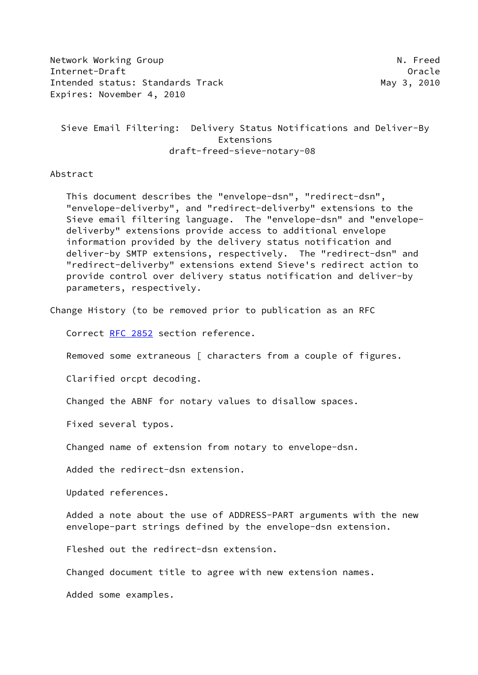Network Working Group Network Alexander Museum N. Freed Internet-Draft Oracle Intended status: Standards Track May 3, 2010 Expires: November 4, 2010

 Sieve Email Filtering: Delivery Status Notifications and Deliver-By Extensions draft-freed-sieve-notary-08

Abstract

 This document describes the "envelope-dsn", "redirect-dsn", "envelope-deliverby", and "redirect-deliverby" extensions to the Sieve email filtering language. The "envelope-dsn" and "envelope deliverby" extensions provide access to additional envelope information provided by the delivery status notification and deliver-by SMTP extensions, respectively. The "redirect-dsn" and "redirect-deliverby" extensions extend Sieve's redirect action to provide control over delivery status notification and deliver-by parameters, respectively.

Change History (to be removed prior to publication as an RFC

Correct [RFC 2852](https://datatracker.ietf.org/doc/pdf/rfc2852) section reference.

Removed some extraneous [ characters from a couple of figures.

Clarified orcpt decoding.

Changed the ABNF for notary values to disallow spaces.

Fixed several typos.

Changed name of extension from notary to envelope-dsn.

Added the redirect-dsn extension.

Updated references.

 Added a note about the use of ADDRESS-PART arguments with the new envelope-part strings defined by the envelope-dsn extension.

Fleshed out the redirect-dsn extension.

Changed document title to agree with new extension names.

Added some examples.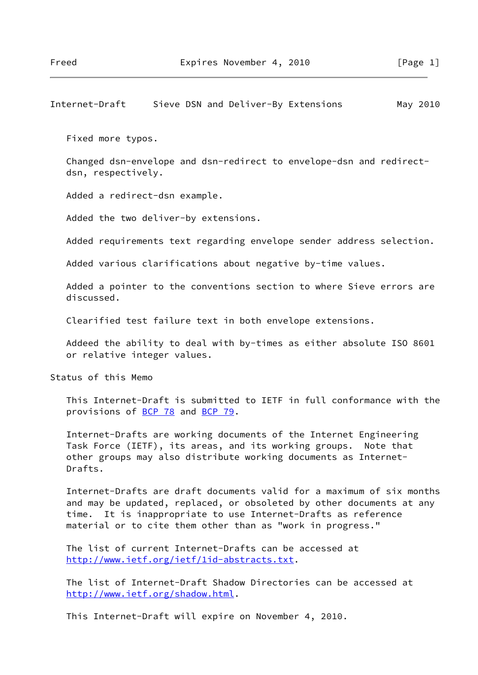# Internet-Draft Sieve DSN and Deliver-By Extensions May 2010

Fixed more typos.

 Changed dsn-envelope and dsn-redirect to envelope-dsn and redirect dsn, respectively.

Added a redirect-dsn example.

Added the two deliver-by extensions.

Added requirements text regarding envelope sender address selection.

Added various clarifications about negative by-time values.

 Added a pointer to the conventions section to where Sieve errors are discussed.

Clearified test failure text in both envelope extensions.

 Addeed the ability to deal with by-times as either absolute ISO 8601 or relative integer values.

Status of this Memo

 This Internet-Draft is submitted to IETF in full conformance with the provisions of [BCP 78](https://datatracker.ietf.org/doc/pdf/bcp78) and [BCP 79](https://datatracker.ietf.org/doc/pdf/bcp79).

 Internet-Drafts are working documents of the Internet Engineering Task Force (IETF), its areas, and its working groups. Note that other groups may also distribute working documents as Internet- Drafts.

 Internet-Drafts are draft documents valid for a maximum of six months and may be updated, replaced, or obsoleted by other documents at any time. It is inappropriate to use Internet-Drafts as reference material or to cite them other than as "work in progress."

 The list of current Internet-Drafts can be accessed at <http://www.ietf.org/ietf/1id-abstracts.txt>.

 The list of Internet-Draft Shadow Directories can be accessed at <http://www.ietf.org/shadow.html>.

This Internet-Draft will expire on November 4, 2010.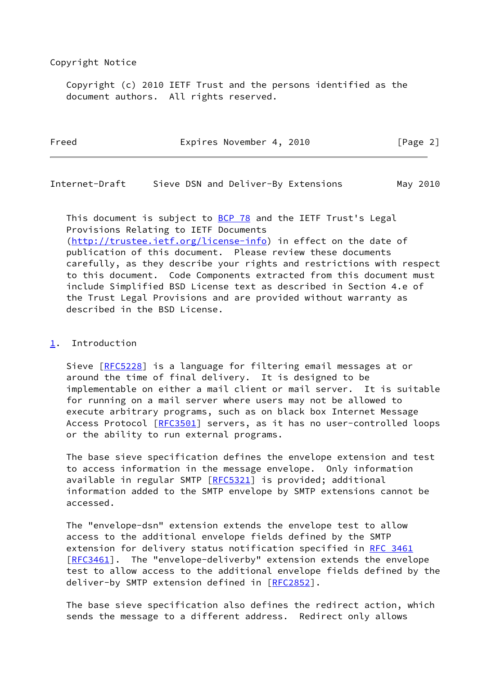#### Copyright Notice

 Copyright (c) 2010 IETF Trust and the persons identified as the document authors. All rights reserved.

| Freed | Expires November 4, 2010 | [Page 2] |
|-------|--------------------------|----------|
|       |                          |          |

Internet-Draft Sieve DSN and Deliver-By Extensions May 2010

This document is subject to  $BCP$  78 and the IETF Trust's Legal Provisions Relating to IETF Documents [\(http://trustee.ietf.org/license-info](http://trustee.ietf.org/license-info)) in effect on the date of publication of this document. Please review these documents carefully, as they describe your rights and restrictions with respect to this document. Code Components extracted from this document must include Simplified BSD License text as described in Section 4.e of the Trust Legal Provisions and are provided without warranty as described in the BSD License.

### <span id="page-2-0"></span>[1](#page-2-0). Introduction

 Sieve [[RFC5228](https://datatracker.ietf.org/doc/pdf/rfc5228)] is a language for filtering email messages at or around the time of final delivery. It is designed to be implementable on either a mail client or mail server. It is suitable for running on a mail server where users may not be allowed to execute arbitrary programs, such as on black box Internet Message Access Protocol [\[RFC3501](https://datatracker.ietf.org/doc/pdf/rfc3501)] servers, as it has no user-controlled loops or the ability to run external programs.

 The base sieve specification defines the envelope extension and test to access information in the message envelope. Only information available in regular SMTP [[RFC5321](https://datatracker.ietf.org/doc/pdf/rfc5321)] is provided; additional information added to the SMTP envelope by SMTP extensions cannot be accessed.

 The "envelope-dsn" extension extends the envelope test to allow access to the additional envelope fields defined by the SMTP extension for delivery status notification specified in [RFC 3461](https://datatracker.ietf.org/doc/pdf/rfc3461) [\[RFC3461](https://datatracker.ietf.org/doc/pdf/rfc3461)]. The "envelope-deliverby" extension extends the envelope test to allow access to the additional envelope fields defined by the deliver-by SMTP extension defined in [\[RFC2852](https://datatracker.ietf.org/doc/pdf/rfc2852)].

 The base sieve specification also defines the redirect action, which sends the message to a different address. Redirect only allows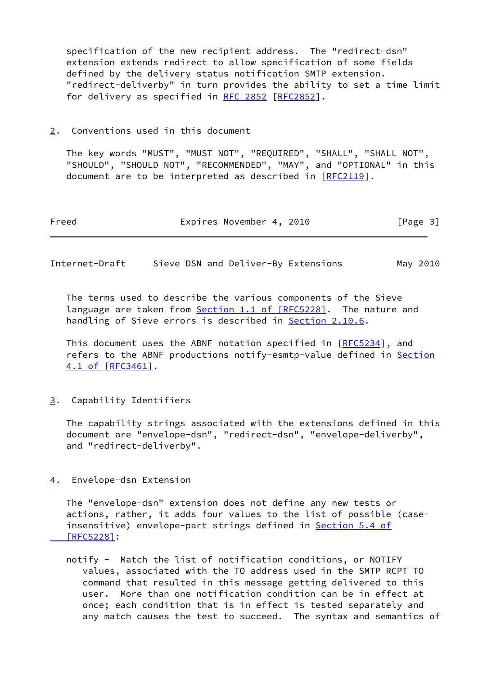specification of the new recipient address. The "redirect-dsn" extension extends redirect to allow specification of some fields defined by the delivery status notification SMTP extension. "redirect-deliverby" in turn provides the ability to set a time limit for delivery as specified in [RFC 2852](https://datatracker.ietf.org/doc/pdf/rfc2852) [[RFC2852](https://datatracker.ietf.org/doc/pdf/rfc2852)].

<span id="page-3-0"></span>[2](#page-3-0). Conventions used in this document

 The key words "MUST", "MUST NOT", "REQUIRED", "SHALL", "SHALL NOT", "SHOULD", "SHOULD NOT", "RECOMMENDED", "MAY", and "OPTIONAL" in this document are to be interpreted as described in [\[RFC2119](https://datatracker.ietf.org/doc/pdf/rfc2119)].

| Freed |  | Expires November 4, 2010 |  |  | [Page 3] |  |  |
|-------|--|--------------------------|--|--|----------|--|--|
|-------|--|--------------------------|--|--|----------|--|--|

Internet-Draft Sieve DSN and Deliver-By Extensions May 2010

 The terms used to describe the various components of the Sieve language are taken from **Section [1.1 of \[RFC5228\]](https://datatracker.ietf.org/doc/pdf/rfc5228#section-1.1)**. The nature and handling of Sieve errors is described in **Section 2.10.6.** 

 This document uses the ABNF notation specified in [[RFC5234](https://datatracker.ietf.org/doc/pdf/rfc5234)], and refers to the ABNF productions notify-esmtp-value defined in [Section](https://datatracker.ietf.org/doc/pdf/rfc3461#section-4.1) [4.1 of \[RFC3461\]](https://datatracker.ietf.org/doc/pdf/rfc3461#section-4.1).

<span id="page-3-1"></span>[3](#page-3-1). Capability Identifiers

 The capability strings associated with the extensions defined in this document are "envelope-dsn", "redirect-dsn", "envelope-deliverby", and "redirect-deliverby".

<span id="page-3-2"></span>[4](#page-3-2). Envelope-dsn Extension

 The "envelope-dsn" extension does not define any new tests or actions, rather, it adds four values to the list of possible (case insensitive) envelope-part strings defined in **Section 5.4 of**  [\[RFC5228\]](https://datatracker.ietf.org/doc/pdf/rfc5228#section-5.4):

 notify - Match the list of notification conditions, or NOTIFY values, associated with the TO address used in the SMTP RCPT TO command that resulted in this message getting delivered to this user. More than one notification condition can be in effect at once; each condition that is in effect is tested separately and any match causes the test to succeed. The syntax and semantics of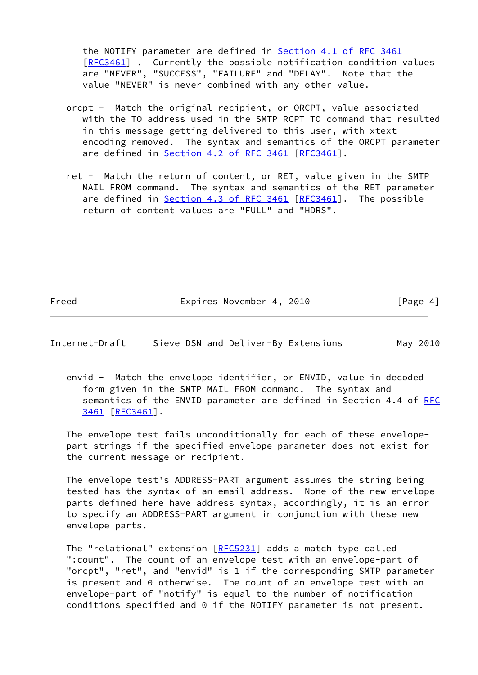the NOTIFY parameter are defined in Section [4.1 of RFC 3461](https://datatracker.ietf.org/doc/pdf/rfc3461#section-4.1) [[RFC3461\]](https://datatracker.ietf.org/doc/pdf/rfc3461) . Currently the possible notification condition values are "NEVER", "SUCCESS", "FAILURE" and "DELAY". Note that the value "NEVER" is never combined with any other value.

- orcpt Match the original recipient, or ORCPT, value associated with the TO address used in the SMTP RCPT TO command that resulted in this message getting delivered to this user, with xtext encoding removed. The syntax and semantics of the ORCPT parameter are defined in Section [4.2 of RFC 3461](https://datatracker.ietf.org/doc/pdf/rfc3461#section-4.2) [[RFC3461](https://datatracker.ietf.org/doc/pdf/rfc3461)].
- ret Match the return of content, or RET, value given in the SMTP MAIL FROM command. The syntax and semantics of the RET parameter are defined in **Section [4.3 of RFC 3461](https://datatracker.ietf.org/doc/pdf/rfc3461#section-4.3)** [[RFC3461](https://datatracker.ietf.org/doc/pdf/rfc3461)]. The possible return of content values are "FULL" and "HDRS".

Freed Expires November 4, 2010 [Page 4]

Internet-Draft Sieve DSN and Deliver-By Extensions May 2010

 envid - Match the envelope identifier, or ENVID, value in decoded form given in the SMTP MAIL FROM command. The syntax and semantics of the ENVID parameter are defined in Section 4.4 of [RFC](https://datatracker.ietf.org/doc/pdf/rfc3461) [3461 \[RFC3461](https://datatracker.ietf.org/doc/pdf/rfc3461)].

 The envelope test fails unconditionally for each of these envelope part strings if the specified envelope parameter does not exist for the current message or recipient.

 The envelope test's ADDRESS-PART argument assumes the string being tested has the syntax of an email address. None of the new envelope parts defined here have address syntax, accordingly, it is an error to specify an ADDRESS-PART argument in conjunction with these new envelope parts.

The "relational" extension [[RFC5231\]](https://datatracker.ietf.org/doc/pdf/rfc5231) adds a match type called ":count". The count of an envelope test with an envelope-part of "orcpt", "ret", and "envid" is 1 if the corresponding SMTP parameter is present and 0 otherwise. The count of an envelope test with an envelope-part of "notify" is equal to the number of notification conditions specified and 0 if the NOTIFY parameter is not present.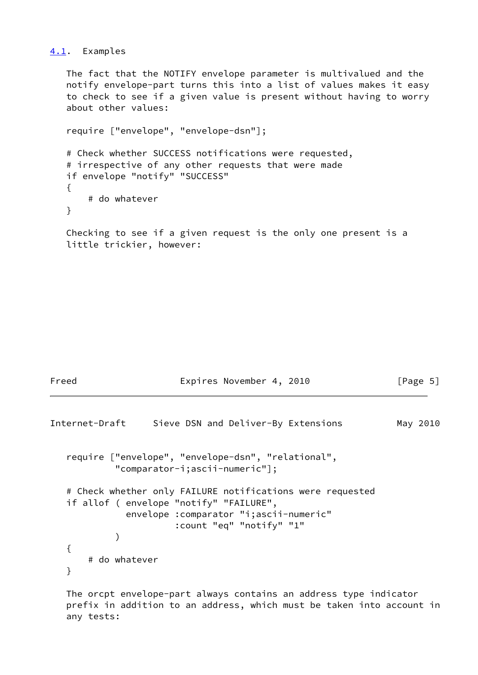### <span id="page-5-0"></span>[4.1](#page-5-0). Examples

 The fact that the NOTIFY envelope parameter is multivalued and the notify envelope-part turns this into a list of values makes it easy to check to see if a given value is present without having to worry about other values:

```
 require ["envelope", "envelope-dsn"];
 # Check whether SUCCESS notifications were requested,
 # irrespective of any other requests that were made
 if envelope "notify" "SUCCESS"
 {
     # do whatever
 }
```
 Checking to see if a given request is the only one present is a little trickier, however:

```
Freed Expires November 4, 2010 [Page 5]
Internet-Draft Sieve DSN and Deliver-By Extensions May 2010
   require ["envelope", "envelope-dsn", "relational",
            "comparator-i;ascii-numeric"];
   # Check whether only FAILURE notifications were requested
   if allof ( envelope "notify" "FAILURE",
              envelope :comparator "i;ascii-numeric"
                      :count "eq" "notify" "1"
\overline{\phantom{a}} {
       # do whatever
   }
```
 The orcpt envelope-part always contains an address type indicator prefix in addition to an address, which must be taken into account in any tests: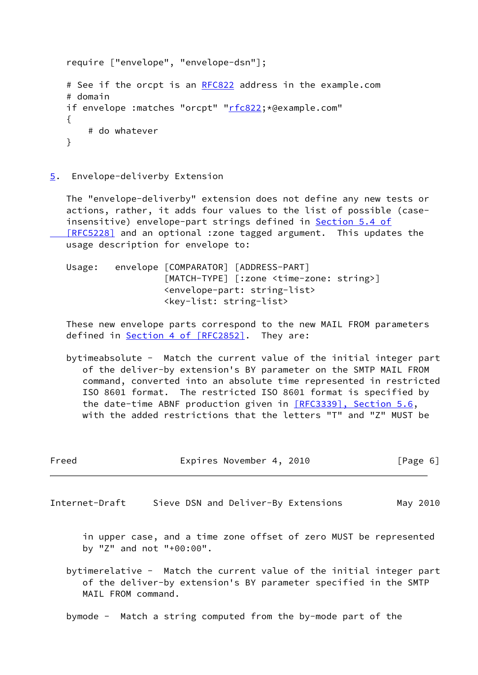```
 require ["envelope", "envelope-dsn"];
 RFC822 address in the example.com
 # domain
"rfc822; *@example.com"
 {
    # do whatever
 }
```
<span id="page-6-0"></span>[5](#page-6-0). Envelope-deliverby Extension

 The "envelope-deliverby" extension does not define any new tests or actions, rather, it adds four values to the list of possible (case insensitive) envelope-part strings defined in [Section](https://datatracker.ietf.org/doc/pdf/rfc5228#section-5.4) 5.4 of  [\[RFC5228\]](https://datatracker.ietf.org/doc/pdf/rfc5228#section-5.4) and an optional :zone tagged argument. This updates the usage description for envelope to:

 Usage: envelope [COMPARATOR] [ADDRESS-PART] [MATCH-TYPE] [:zone <time-zone: string>] <envelope-part: string-list> <key-list: string-list>

 These new envelope parts correspond to the new MAIL FROM parameters defined in **Section [4 of \[RFC2852\]](https://datatracker.ietf.org/doc/pdf/rfc2852#section-4)**. They are:

 bytimeabsolute - Match the current value of the initial integer part of the deliver-by extension's BY parameter on the SMTP MAIL FROM command, converted into an absolute time represented in restricted ISO 8601 format. The restricted ISO 8601 format is specified by the date-time ABNF production given in [\[RFC3339\], Section](https://datatracker.ietf.org/doc/pdf/rfc3339#section-5.6) 5.6, with the added restrictions that the letters "T" and "Z" MUST be

| Freed              | Expires November 4, 2010                                                                                                                 | $\lceil \text{Page } 6 \rceil$ |
|--------------------|------------------------------------------------------------------------------------------------------------------------------------------|--------------------------------|
| Internet-Draft     | Sieve DSN and Deliver-By Extensions                                                                                                      | May 2010                       |
|                    | in upper case, and a time zone offset of zero MUST be represented<br>by "Z" and not "+00:00".                                            |                                |
| MAIL FROM command. | bytimerelative - Match the current value of the initial integer part<br>of the deliver-by extension's BY parameter specified in the SMTP |                                |

bymode - Match a string computed from the by-mode part of the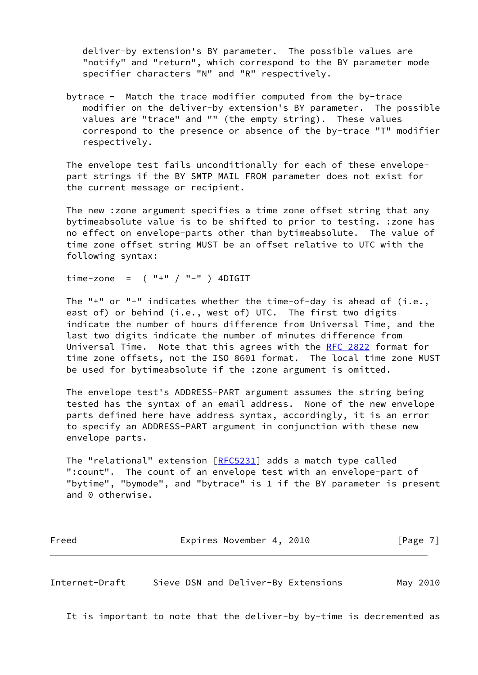deliver-by extension's BY parameter. The possible values are "notify" and "return", which correspond to the BY parameter mode specifier characters "N" and "R" respectively.

 bytrace - Match the trace modifier computed from the by-trace modifier on the deliver-by extension's BY parameter. The possible values are "trace" and "" (the empty string). These values correspond to the presence or absence of the by-trace "T" modifier respectively.

 The envelope test fails unconditionally for each of these envelope part strings if the BY SMTP MAIL FROM parameter does not exist for the current message or recipient.

 The new :zone argument specifies a time zone offset string that any bytimeabsolute value is to be shifted to prior to testing. :zone has no effect on envelope-parts other than bytimeabsolute. The value of time zone offset string MUST be an offset relative to UTC with the following syntax:

time-zone =  $(''$  +"  $(''$  -"  $')$  4DIGIT

 The "+" or "-" indicates whether the time-of-day is ahead of (i.e., east of) or behind (i.e., west of) UTC. The first two digits indicate the number of hours difference from Universal Time, and the last two digits indicate the number of minutes difference from Universal Time. Note that this agrees with the [RFC 2822](https://datatracker.ietf.org/doc/pdf/rfc2822) format for time zone offsets, not the ISO 8601 format. The local time zone MUST be used for bytimeabsolute if the :zone argument is omitted.

 The envelope test's ADDRESS-PART argument assumes the string being tested has the syntax of an email address. None of the new envelope parts defined here have address syntax, accordingly, it is an error to specify an ADDRESS-PART argument in conjunction with these new envelope parts.

The "relational" extension [[RFC5231\]](https://datatracker.ietf.org/doc/pdf/rfc5231) adds a match type called ":count". The count of an envelope test with an envelope-part of "bytime", "bymode", and "bytrace" is 1 if the BY parameter is present and 0 otherwise.

| Freed | Expires November 4, 2010 |  | [Page 7] |  |
|-------|--------------------------|--|----------|--|
|       |                          |  |          |  |

Internet-Draft Sieve DSN and Deliver-By Extensions May 2010

It is important to note that the deliver-by by-time is decremented as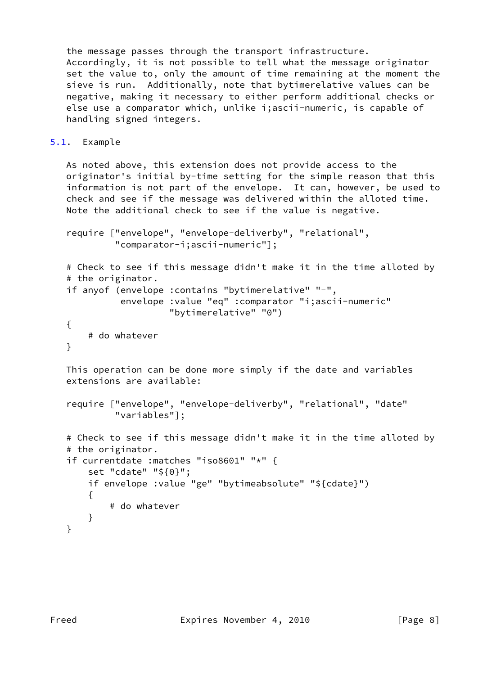the message passes through the transport infrastructure. Accordingly, it is not possible to tell what the message originator set the value to, only the amount of time remaining at the moment the sieve is run. Additionally, note that bytimerelative values can be negative, making it necessary to either perform additional checks or else use a comparator which, unlike i;ascii-numeric, is capable of handling signed integers.

# <span id="page-8-0"></span>[5.1](#page-8-0). Example

 As noted above, this extension does not provide access to the originator's initial by-time setting for the simple reason that this information is not part of the envelope. It can, however, be used to check and see if the message was delivered within the alloted time. Note the additional check to see if the value is negative.

```
 require ["envelope", "envelope-deliverby", "relational",
          "comparator-i;ascii-numeric"];
```

```
 # Check to see if this message didn't make it in the time alloted by
 # the originator.
 if anyof (envelope :contains "bytimerelative" "-",
```

```
 envelope :value "eq" :comparator "i;ascii-numeric"
          "bytimerelative" "0")
```

```
 {
     # do whatever
```

```
 }
```
 This operation can be done more simply if the date and variables extensions are available:

```
 require ["envelope", "envelope-deliverby", "relational", "date"
          "variables"];
```

```
 # Check to see if this message didn't make it in the time alloted by
 # the originator.
 if currentdate :matches "iso8601" "*" {
     set "cdate" "${0}";
     if envelope :value "ge" "bytimeabsolute" "${cdate}")
    \mathcal{L} # do whatever
     }
 }
```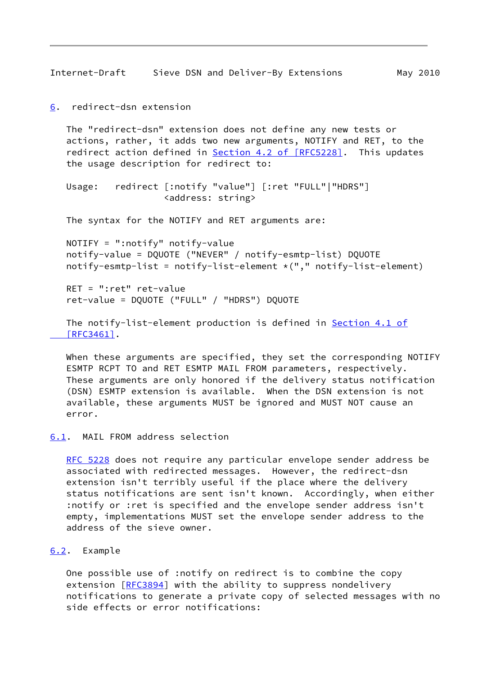Internet-Draft Sieve DSN and Deliver-By Extensions May 2010

```
6. redirect-dsn extension
```
 The "redirect-dsn" extension does not define any new tests or actions, rather, it adds two new arguments, NOTIFY and RET, to the redirect action defined in Section [4.2 of \[RFC5228\].](https://datatracker.ietf.org/doc/pdf/rfc5228#section-4.2) This updates the usage description for redirect to:

```
 Usage: redirect [:notify "value"] [:ret "FULL"|"HDRS"]
                   <address: string>
```
The syntax for the NOTIFY and RET arguments are:

```
 NOTIFY = ":notify" notify-value
 notify-value = DQUOTE ("NEVER" / notify-esmtp-list) DQUOTE
notify-esmtp-list = notify-list-element *(", " notify-list-element)
```
 RET = ":ret" ret-value ret-value = DQUOTE ("FULL" / "HDRS") DQUOTE

```
 Section 4.1 of
 [RFC3461].
```
 When these arguments are specified, they set the corresponding NOTIFY ESMTP RCPT TO and RET ESMTP MAIL FROM parameters, respectively. These arguments are only honored if the delivery status notification (DSN) ESMTP extension is available. When the DSN extension is not available, these arguments MUST be ignored and MUST NOT cause an error.

### <span id="page-9-1"></span>[6.1](#page-9-1). MAIL FROM address selection

[RFC 5228](https://datatracker.ietf.org/doc/pdf/rfc5228) does not require any particular envelope sender address be associated with redirected messages. However, the redirect-dsn extension isn't terribly useful if the place where the delivery status notifications are sent isn't known. Accordingly, when either :notify or :ret is specified and the envelope sender address isn't empty, implementations MUST set the envelope sender address to the address of the sieve owner.

#### <span id="page-9-2"></span>[6.2](#page-9-2). Example

 One possible use of :notify on redirect is to combine the copy extension [[RFC3894](https://datatracker.ietf.org/doc/pdf/rfc3894)] with the ability to suppress nondelivery notifications to generate a private copy of selected messages with no side effects or error notifications: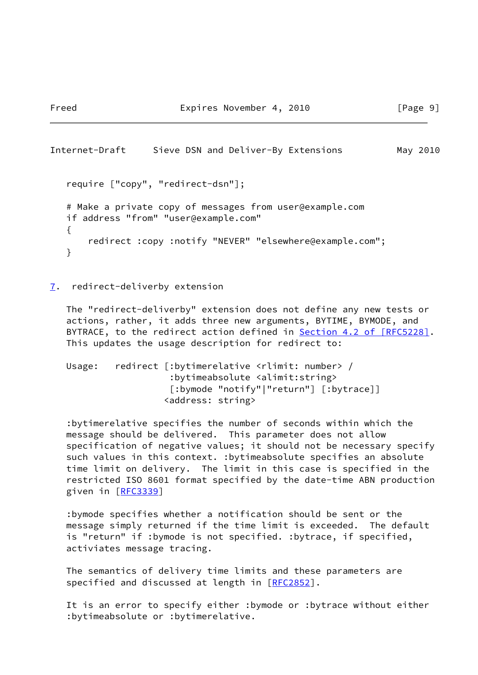```
Internet-Draft Sieve DSN and Deliver-By Extensions May 2010
   require ["copy", "redirect-dsn"];
   # Make a private copy of messages from user@example.com
   if address "from" "user@example.com"
   {
       redirect :copy :notify "NEVER" "elsewhere@example.com";
   }
```

```
7. redirect-deliverby extension
```
 The "redirect-deliverby" extension does not define any new tests or actions, rather, it adds three new arguments, BYTIME, BYMODE, and BYTRACE, to the redirect action defined in Section [4.2 of \[RFC5228\].](https://datatracker.ietf.org/doc/pdf/rfc5228#section-4.2) This updates the usage description for redirect to:

 Usage: redirect [:bytimerelative <rlimit: number> / :bytimeabsolute <alimit:string> [:bymode "notify"|"return"] [:bytrace]] <address: string>

 :bytimerelative specifies the number of seconds within which the message should be delivered. This parameter does not allow specification of negative values; it should not be necessary specify such values in this context. :bytimeabsolute specifies an absolute time limit on delivery. The limit in this case is specified in the restricted ISO 8601 format specified by the date-time ABN production given in [\[RFC3339](https://datatracker.ietf.org/doc/pdf/rfc3339)]

 :bymode specifies whether a notification should be sent or the message simply returned if the time limit is exceeded. The default is "return" if :bymode is not specified. :bytrace, if specified, activiates message tracing.

 The semantics of delivery time limits and these parameters are specified and discussed at length in [\[RFC2852](https://datatracker.ietf.org/doc/pdf/rfc2852)].

 It is an error to specify either :bymode or :bytrace without either :bytimeabsolute or :bytimerelative.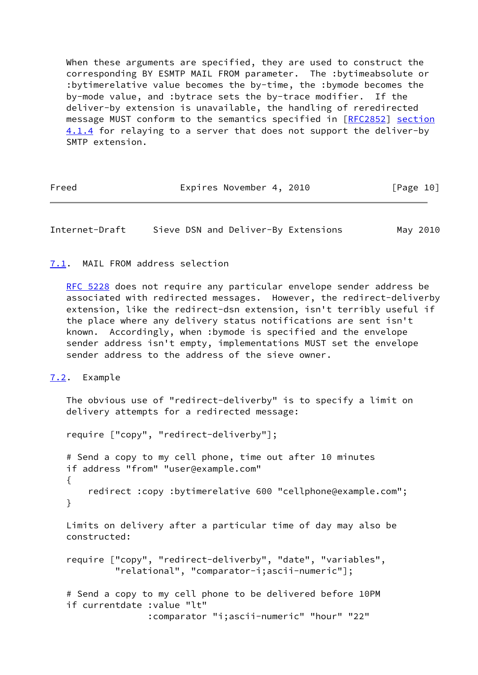When these arguments are specified, they are used to construct the corresponding BY ESMTP MAIL FROM parameter. The :bytimeabsolute or :bytimerelative value becomes the by-time, the :bymode becomes the by-mode value, and :bytrace sets the by-trace modifier. If the deliver-by extension is unavailable, the handling of reredirected message MUST conform to the semantics specified in [[RFC2852\]](https://datatracker.ietf.org/doc/pdf/rfc2852) section 4.1.4 for relaying to a server that does not support the deliver-by SMTP extension.

Freed Expires November 4, 2010 [Page 10]

Internet-Draft Sieve DSN and Deliver-By Extensions May 2010

## <span id="page-11-0"></span>[7.1](#page-11-0). MAIL FROM address selection

[RFC 5228](https://datatracker.ietf.org/doc/pdf/rfc5228) does not require any particular envelope sender address be associated with redirected messages. However, the redirect-deliverby extension, like the redirect-dsn extension, isn't terribly useful if the place where any delivery status notifications are sent isn't known. Accordingly, when :bymode is specified and the envelope sender address isn't empty, implementations MUST set the envelope sender address to the address of the sieve owner.

<span id="page-11-1"></span>[7.2](#page-11-1). Example

 The obvious use of "redirect-deliverby" is to specify a limit on delivery attempts for a redirected message:

require ["copy", "redirect-deliverby"];

 # Send a copy to my cell phone, time out after 10 minutes if address "from" "user@example.com" { redirect :copy :bytimerelative 600 "cellphone@example.com"; }

 Limits on delivery after a particular time of day may also be constructed:

```
 require ["copy", "redirect-deliverby", "date", "variables",
          "relational", "comparator-i;ascii-numeric"];
```
 # Send a copy to my cell phone to be delivered before 10PM if currentdate :value "lt" :comparator "i;ascii-numeric" "hour" "22"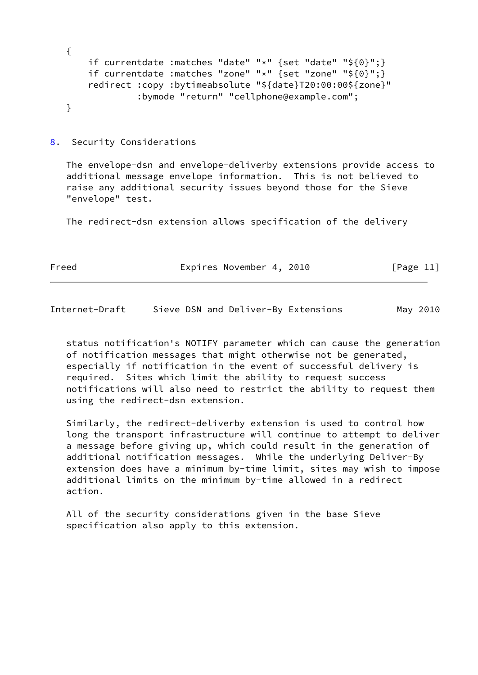{ if currentdate :matches "date" "\*" {set "date" "\${0}";} if currentdate :matches "zone" "\*" {set "zone" "\${0}";} redirect :copy :bytimeabsolute "\${date}T20:00:00\${zone}" :bymode "return" "cellphone@example.com"; }

<span id="page-12-0"></span>[8](#page-12-0). Security Considerations

 The envelope-dsn and envelope-deliverby extensions provide access to additional message envelope information. This is not believed to raise any additional security issues beyond those for the Sieve "envelope" test.

The redirect-dsn extension allows specification of the delivery

| Freed | Expires November 4, 2010 | [Page 11] |
|-------|--------------------------|-----------|
|       |                          |           |

Internet-Draft Sieve DSN and Deliver-By Extensions May 2010

 status notification's NOTIFY parameter which can cause the generation of notification messages that might otherwise not be generated, especially if notification in the event of successful delivery is required. Sites which limit the ability to request success notifications will also need to restrict the ability to request them using the redirect-dsn extension.

 Similarly, the redirect-deliverby extension is used to control how long the transport infrastructure will continue to attempt to deliver a message before giving up, which could result in the generation of additional notification messages. While the underlying Deliver-By extension does have a minimum by-time limit, sites may wish to impose additional limits on the minimum by-time allowed in a redirect action.

 All of the security considerations given in the base Sieve specification also apply to this extension.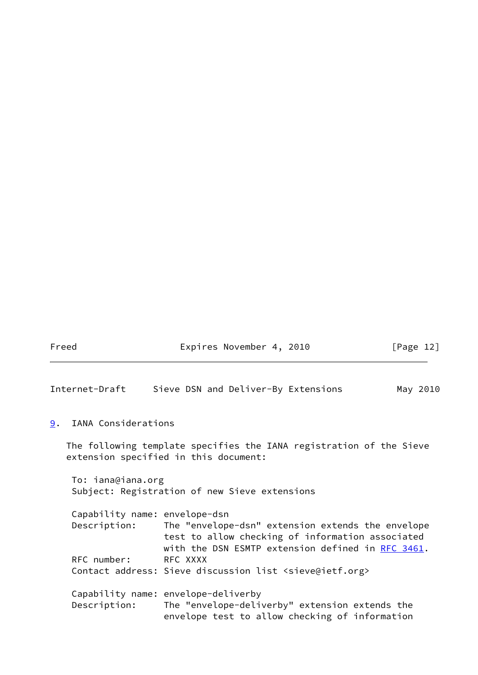Freed Expires November 4, 2010 [Page 12]

Internet-Draft Sieve DSN and Deliver-By Extensions May 2010

<span id="page-13-0"></span>[9](#page-13-0). IANA Considerations

 The following template specifies the IANA registration of the Sieve extension specified in this document:

 To: iana@iana.org Subject: Registration of new Sieve extensions

| Capability name: envelope-dsn |                                                                          |
|-------------------------------|--------------------------------------------------------------------------|
| Description:                  | The "envelope-dsn" extension extends the envelope                        |
|                               | test to allow checking of information associated                         |
|                               | with the DSN ESMTP extension defined in RFC 3461.                        |
| RFC number:                   | RFC XXXX                                                                 |
|                               | Contact address: Sieve discussion list <sieve@ietf.org></sieve@ietf.org> |
|                               |                                                                          |
|                               | Capability name: envelope-deliverby                                      |
| Description:                  | The "envelope-deliverby" extension extends the                           |
|                               | envelope test to allow checking of information                           |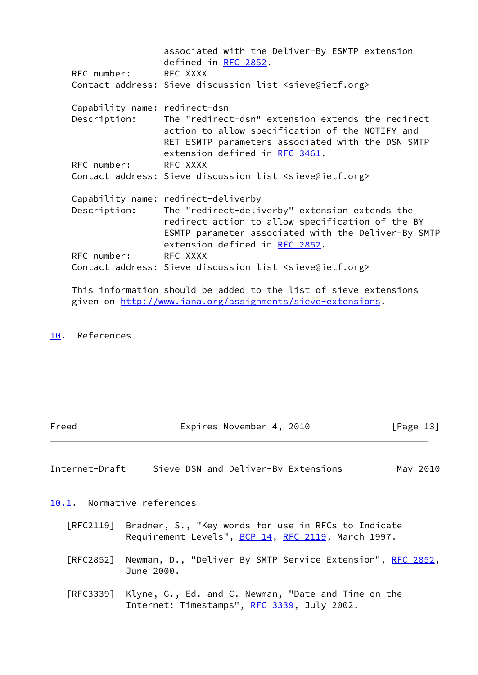|                               | associated with the Deliver-By ESMTP extension<br>defined in RFC 2852.                                                                                                                      |
|-------------------------------|---------------------------------------------------------------------------------------------------------------------------------------------------------------------------------------------|
| RFC number: RFC XXXX          |                                                                                                                                                                                             |
|                               | Contact address: Sieve discussion list <sieve@ietf.org></sieve@ietf.org>                                                                                                                    |
| Capability name: redirect-dsn |                                                                                                                                                                                             |
| Description:                  | The "redirect-dsn" extension extends the redirect<br>action to allow specification of the NOTIFY and<br>RET ESMTP parameters associated with the DSN SMTP<br>extension defined in RFC 3461. |
| RFC number: RFC XXXX          |                                                                                                                                                                                             |
|                               | Contact address: Sieve discussion list <sieve@ietf.org></sieve@ietf.org>                                                                                                                    |
|                               | Capability name: redirect-deliverby                                                                                                                                                         |
| Description:                  | The "redirect-deliverby" extension extends the<br>redirect action to allow specification of the BY<br>ESMTP parameter associated with the Deliver-By SMTP<br>extension defined in RFC 2852. |
| RFC number:                   | RFC XXXX                                                                                                                                                                                    |
|                               | Contact address: Sieve discussion list <sieve@ietf.org></sieve@ietf.org>                                                                                                                    |

 This information should be added to the list of sieve extensions given on<http://www.iana.org/assignments/sieve-extensions>.

# <span id="page-14-0"></span>[10.](#page-14-0) References

| Freed | Expires November 4, 2010 | [Page 13] |
|-------|--------------------------|-----------|
|-------|--------------------------|-----------|

Internet-Draft Sieve DSN and Deliver-By Extensions May 2010

<span id="page-14-1"></span>[10.1](#page-14-1). Normative references

- [RFC2119] Bradner, S., "Key words for use in RFCs to Indicate Requirement Levels", [BCP 14](https://datatracker.ietf.org/doc/pdf/bcp14), [RFC 2119](https://datatracker.ietf.org/doc/pdf/rfc2119), March 1997.
- [RFC2852] Newman, D., "Deliver By SMTP Service Extension", [RFC 2852,](https://datatracker.ietf.org/doc/pdf/rfc2852) June 2000.
- [RFC3339] Klyne, G., Ed. and C. Newman, "Date and Time on the Internet: Timestamps", [RFC 3339](https://datatracker.ietf.org/doc/pdf/rfc3339), July 2002.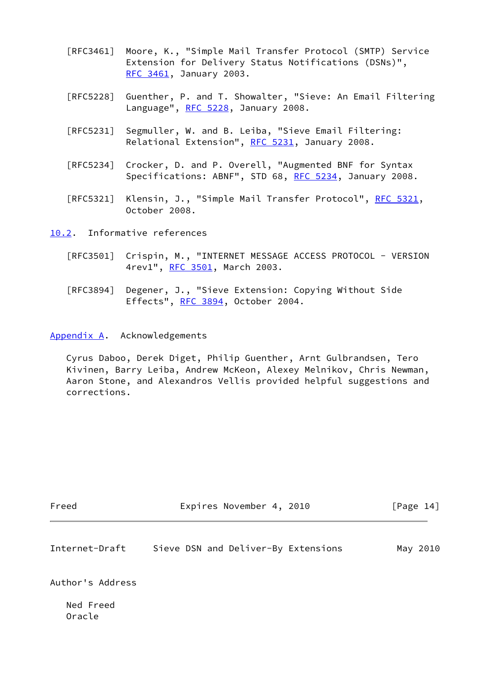- [RFC3461] Moore, K., "Simple Mail Transfer Protocol (SMTP) Service Extension for Delivery Status Notifications (DSNs)", [RFC 3461,](https://datatracker.ietf.org/doc/pdf/rfc3461) January 2003.
- [RFC5228] Guenther, P. and T. Showalter, "Sieve: An Email Filtering Language", [RFC 5228](https://datatracker.ietf.org/doc/pdf/rfc5228), January 2008.
- [RFC5231] Segmuller, W. and B. Leiba, "Sieve Email Filtering: Relational Extension", [RFC 5231](https://datatracker.ietf.org/doc/pdf/rfc5231), January 2008.
- [RFC5234] Crocker, D. and P. Overell, "Augmented BNF for Syntax Specifications: ABNF", STD 68, [RFC 5234](https://datatracker.ietf.org/doc/pdf/rfc5234), January 2008.
- [RFC5321] Klensin, J., "Simple Mail Transfer Protocol", [RFC 5321](https://datatracker.ietf.org/doc/pdf/rfc5321), October 2008.

<span id="page-15-0"></span>[10.2](#page-15-0). Informative references

- [RFC3501] Crispin, M., "INTERNET MESSAGE ACCESS PROTOCOL VERSION 4rev1", [RFC 3501,](https://datatracker.ietf.org/doc/pdf/rfc3501) March 2003.
- [RFC3894] Degener, J., "Sieve Extension: Copying Without Side Effects", [RFC 3894](https://datatracker.ietf.org/doc/pdf/rfc3894), October 2004.

<span id="page-15-1"></span>[Appendix A.](#page-15-1) Acknowledgements

 Cyrus Daboo, Derek Diget, Philip Guenther, Arnt Gulbrandsen, Tero Kivinen, Barry Leiba, Andrew McKeon, Alexey Melnikov, Chris Newman, Aaron Stone, and Alexandros Vellis provided helpful suggestions and corrections.

Freed Expires November 4, 2010 [Page 14]

| Internet-Draft |  | Sieve DSN and Deliver-By Extensions |  | May 2010 |
|----------------|--|-------------------------------------|--|----------|
|----------------|--|-------------------------------------|--|----------|

Author's Address

 Ned Freed Oracle